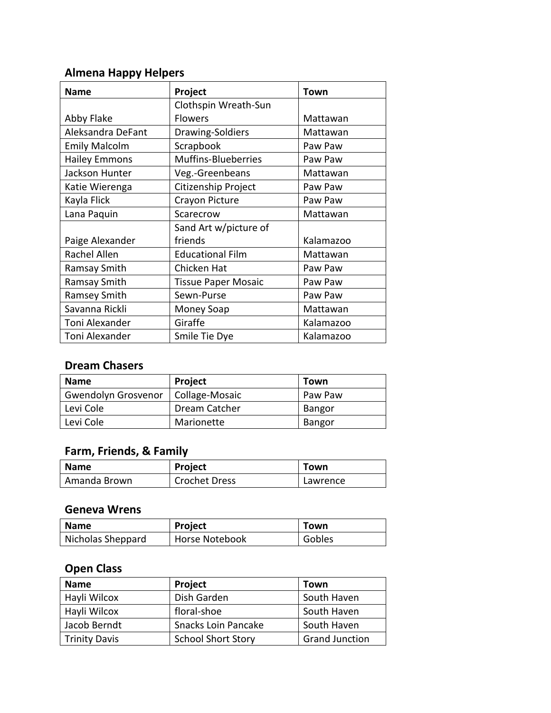# **Almena Happy Helpers**

| <b>Name</b>          | Project                    | Town      |
|----------------------|----------------------------|-----------|
|                      | Clothspin Wreath-Sun       |           |
| Abby Flake           | <b>Flowers</b>             | Mattawan  |
| Aleksandra DeFant    | Drawing-Soldiers           | Mattawan  |
| <b>Emily Malcolm</b> | Scrapbook                  | Paw Paw   |
| <b>Hailey Emmons</b> | Muffins-Blueberries        | Paw Paw   |
| Jackson Hunter       | Veg.-Greenbeans            | Mattawan  |
| Katie Wierenga       | Citizenship Project        | Paw Paw   |
| Kayla Flick          | Crayon Picture             | Paw Paw   |
| Lana Paquin          | Scarecrow                  | Mattawan  |
|                      | Sand Art w/picture of      |           |
| Paige Alexander      | friends                    | Kalamazoo |
| Rachel Allen         | <b>Educational Film</b>    | Mattawan  |
| Ramsay Smith         | Chicken Hat                | Paw Paw   |
| Ramsay Smith         | <b>Tissue Paper Mosaic</b> | Paw Paw   |
| Ramsey Smith         | Sewn-Purse                 | Paw Paw   |
| Savanna Rickli       | <b>Money Soap</b>          | Mattawan  |
| Toni Alexander       | Giraffe                    | Kalamazoo |
| Toni Alexander       | Smile Tie Dye              | Kalamazoo |

### **Dream Chasers**

| <b>Name</b>         | <b>Project</b> | Town          |
|---------------------|----------------|---------------|
| Gwendolyn Grosvenor | Collage-Mosaic | Paw Paw       |
| Levi Cole           | Dream Catcher  | Bangor        |
| Levi Cole           | Marionette     | <b>Bangor</b> |

## **Farm, Friends, & Family**

| <b>Name</b>  | <b>Project</b>       | Town     |
|--------------|----------------------|----------|
| Amanda Brown | <b>Crochet Dress</b> | Lawrence |

#### **Geneva Wrens**

| Name              | <b>Project</b>        | <b>Town</b> |
|-------------------|-----------------------|-------------|
| Nicholas Sheppard | <b>Horse Notebook</b> | Gobles      |

## **Open Class**

| <b>Name</b>          | <b>Project</b>             | Town                  |
|----------------------|----------------------------|-----------------------|
| Hayli Wilcox         | Dish Garden                | South Haven           |
| Hayli Wilcox         | floral-shoe                | South Haven           |
| Jacob Berndt         | <b>Snacks Loin Pancake</b> | South Haven           |
| <b>Trinity Davis</b> | <b>School Short Story</b>  | <b>Grand Junction</b> |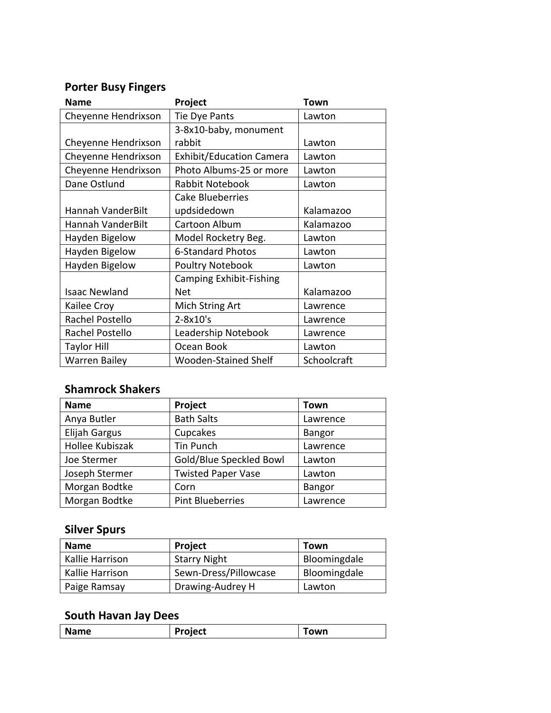# **Porter Busy Fingers**

| <b>Name</b>          | Project                         | Town        |
|----------------------|---------------------------------|-------------|
| Cheyenne Hendrixson  | Tie Dye Pants                   | Lawton      |
|                      | 3-8x10-baby, monument           |             |
| Cheyenne Hendrixson  | rabbit                          | Lawton      |
| Cheyenne Hendrixson  | <b>Exhibit/Education Camera</b> | Lawton      |
| Cheyenne Hendrixson  | Photo Albums-25 or more         | Lawton      |
| Dane Ostlund         | Rabbit Notebook                 | Lawton      |
|                      | <b>Cake Blueberries</b>         |             |
| Hannah VanderBilt    | updsidedown                     | Kalamazoo   |
| Hannah VanderBilt    | Cartoon Album                   | Kalamazoo   |
| Hayden Bigelow       | Model Rocketry Beg.             | Lawton      |
| Hayden Bigelow       | <b>6-Standard Photos</b>        | Lawton      |
| Hayden Bigelow       | <b>Poultry Notebook</b>         | Lawton      |
|                      | <b>Camping Exhibit-Fishing</b>  |             |
| <b>Isaac Newland</b> | <b>Net</b>                      | Kalamazoo   |
| Kailee Croy          | Mich String Art                 | Lawrence    |
| Rachel Postello      | $2 - 8 \times 10's$             | Lawrence    |
| Rachel Postello      | Leadership Notebook             | Lawrence    |
| <b>Taylor Hill</b>   | Ocean Book                      | Lawton      |
| <b>Warren Bailey</b> | <b>Wooden-Stained Shelf</b>     | Schoolcraft |

### **Shamrock Shakers**

| <b>Name</b>          | Project                   | Town          |
|----------------------|---------------------------|---------------|
| Anya Butler          | <b>Bath Salts</b>         | Lawrence      |
| <b>Elijah Gargus</b> | Cupcakes                  | <b>Bangor</b> |
| Hollee Kubiszak      | <b>Tin Punch</b>          | Lawrence      |
| Joe Stermer          | Gold/Blue Speckled Bowl   | Lawton        |
| Joseph Stermer       | <b>Twisted Paper Vase</b> | Lawton        |
| Morgan Bodtke        | Corn                      | <b>Bangor</b> |
| Morgan Bodtke        | <b>Pint Blueberries</b>   | Lawrence      |

## **Silver Spurs**

| <b>Name</b>     | <b>Project</b>        | Town         |
|-----------------|-----------------------|--------------|
| Kallie Harrison | <b>Starry Night</b>   | Bloomingdale |
| Kallie Harrison | Sewn-Dress/Pillowcase | Bloomingdale |
| Paige Ramsay    | Drawing-Audrey H      | Lawton       |

# **South Havan Jay Dees**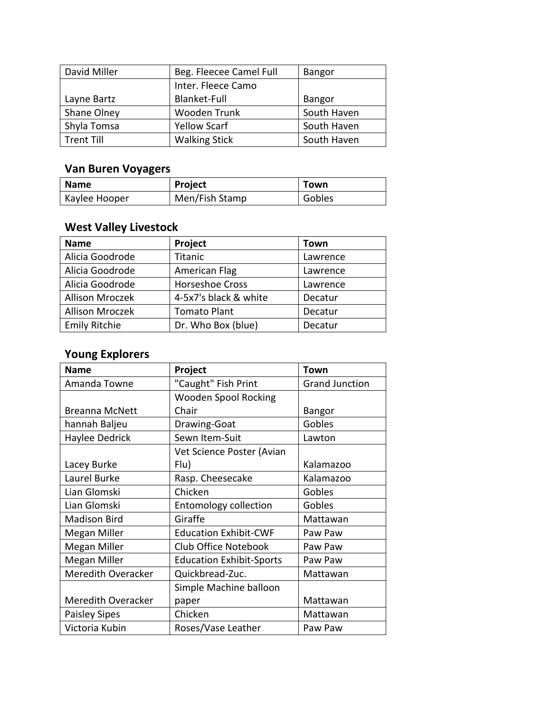| David Miller      | Beg. Fleecee Camel Full | <b>Bangor</b> |
|-------------------|-------------------------|---------------|
|                   | Inter. Fleece Camo      |               |
| Layne Bartz       | <b>Blanket-Full</b>     | <b>Bangor</b> |
| Shane Olney       | Wooden Trunk            | South Haven   |
| Shyla Tomsa       | <b>Yellow Scarf</b>     | South Haven   |
| <b>Trent Till</b> | <b>Walking Stick</b>    | South Haven   |

# **Van Buren Voyagers**

| <b>Name</b>   | <b>Project</b> | Town   |
|---------------|----------------|--------|
| Kaylee Hooper | Men/Fish Stamp | Gobles |

## **West Valley Livestock**

| <b>Name</b>            | Project               | Town     |
|------------------------|-----------------------|----------|
| Alicia Goodrode        | Titanic               | Lawrence |
| Alicia Goodrode        | American Flag         | Lawrence |
| Alicia Goodrode        | Horseshoe Cross       | Lawrence |
| <b>Allison Mroczek</b> | 4-5x7's black & white | Decatur  |
| <b>Allison Mroczek</b> | <b>Tomato Plant</b>   | Decatur  |
| <b>Emily Ritchie</b>   | Dr. Who Box (blue)    | Decatur  |

# **Young Explorers**

| <b>Name</b>           | Project                         | Town                  |
|-----------------------|---------------------------------|-----------------------|
| Amanda Towne          | "Caught" Fish Print             | <b>Grand Junction</b> |
|                       | <b>Wooden Spool Rocking</b>     |                       |
| <b>Breanna McNett</b> | Chair                           | <b>Bangor</b>         |
| hannah Baljeu         | Drawing-Goat                    | Gobles                |
| Haylee Dedrick        | Sewn Item-Suit                  | Lawton                |
|                       | Vet Science Poster (Avian       |                       |
| Lacey Burke           | Flu)                            | Kalamazoo             |
| Laurel Burke          | Rasp. Cheesecake                | Kalamazoo             |
| Lian Glomski          | Chicken                         | Gobles                |
| Lian Glomski          | Entomology collection           | Gobles                |
| <b>Madison Bird</b>   | Giraffe                         | Mattawan              |
| Megan Miller          | <b>Education Exhibit-CWF</b>    | Paw Paw               |
| Megan Miller          | Club Office Notebook            | Paw Paw               |
| Megan Miller          | <b>Education Exhibit-Sports</b> | Paw Paw               |
| Meredith Overacker    | Quickbread-Zuc.                 | Mattawan              |
|                       | Simple Machine balloon          |                       |
| Meredith Overacker    | paper                           | Mattawan              |
| <b>Paisley Sipes</b>  | Chicken                         | Mattawan              |
| Victoria Kubin        | Roses/Vase Leather              | Paw Paw               |